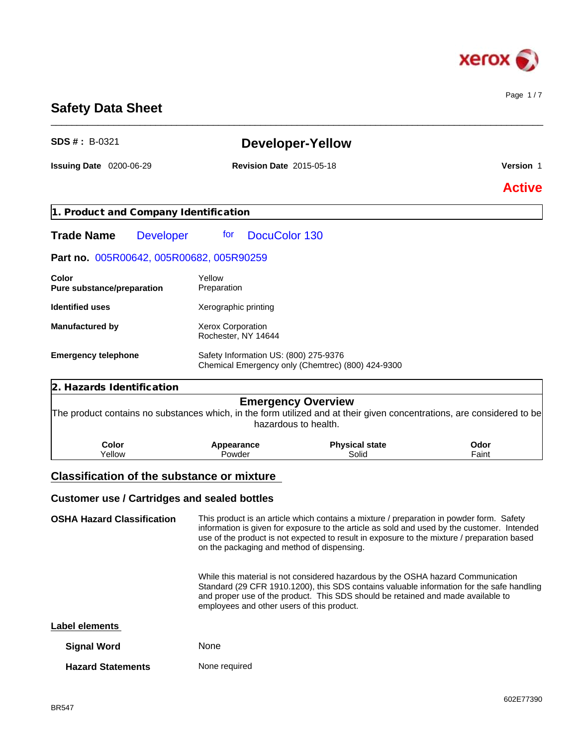

Page 1 / 7

# **Safety Data Sheet**

| <b>SDS #: B-0321</b>                                                                                                   |                                          | <b>Developer-Yellow</b>                                                                  |                      |
|------------------------------------------------------------------------------------------------------------------------|------------------------------------------|------------------------------------------------------------------------------------------|----------------------|
| <b>Issuing Date 0200-06-29</b>                                                                                         | <b>Revision Date 2015-05-18</b>          |                                                                                          | Version 1            |
|                                                                                                                        |                                          |                                                                                          | <b>Active</b>        |
| 1. Product and Company Identification                                                                                  |                                          |                                                                                          |                      |
| <b>Trade Name</b><br><b>Developer</b>                                                                                  | DocuColor 130<br>for                     |                                                                                          |                      |
| Part no. 005R00642, 005R00682, 005R90259                                                                               |                                          |                                                                                          |                      |
| Color<br>Pure substance/preparation                                                                                    | Yellow<br>Preparation                    |                                                                                          |                      |
| <b>Identified uses</b>                                                                                                 | Xerographic printing                     |                                                                                          |                      |
| <b>Manufactured by</b>                                                                                                 | Xerox Corporation<br>Rochester, NY 14644 |                                                                                          |                      |
| <b>Emergency telephone</b>                                                                                             | Safety Information US: (800) 275-9376    | Chemical Emergency only (Chemtrec) (800) 424-9300                                        |                      |
| 2. Hazards Identification                                                                                              |                                          |                                                                                          |                      |
| The product contains no substances which, in the form utilized and at their given concentrations, are considered to be |                                          | <b>Emergency Overview</b><br>hazardous to health.                                        |                      |
| <b>Color</b><br>Yellow                                                                                                 | Appearance<br>Powder                     | <b>Physical state</b><br>Solid                                                           | <b>Odor</b><br>Faint |
| <b>Classification of the substance or mixture</b>                                                                      |                                          |                                                                                          |                      |
| <b>Customer use / Cartridges and sealed bottles</b>                                                                    |                                          |                                                                                          |                      |
| <b>OSHA Hazard Classification</b>                                                                                      |                                          | This product is an article which contains a mixture / preparation in powder form. Safety |                      |

\_\_\_\_\_\_\_\_\_\_\_\_\_\_\_\_\_\_\_\_\_\_\_\_\_\_\_\_\_\_\_\_\_\_\_\_\_\_\_\_\_\_\_\_\_\_\_\_\_\_\_\_\_\_\_\_\_\_\_\_\_\_\_\_\_\_\_\_\_\_\_\_\_\_\_\_\_\_\_\_\_\_\_\_\_\_\_\_\_\_\_\_\_\_

**OSHA Hazard Classification** This product is an article which contains a mixture / preparation in powder form. Safety information is given for exposure to the article as sold and used by the customer. Intended use of the product is not expected to result in exposure to the mixture / preparation based on the packaging and method of dispensing.

> While this material is not considered hazardous by the OSHA hazard Communication Standard (29 CFR 1910.1200), this SDS contains valuable information for the safe handling and proper use of the product. This SDS should be retained and made available to employees and other users of this product.

### **Label elements**

| <b>Signal Word</b>       | <b>None</b>   |
|--------------------------|---------------|
| <b>Hazard Statements</b> | None required |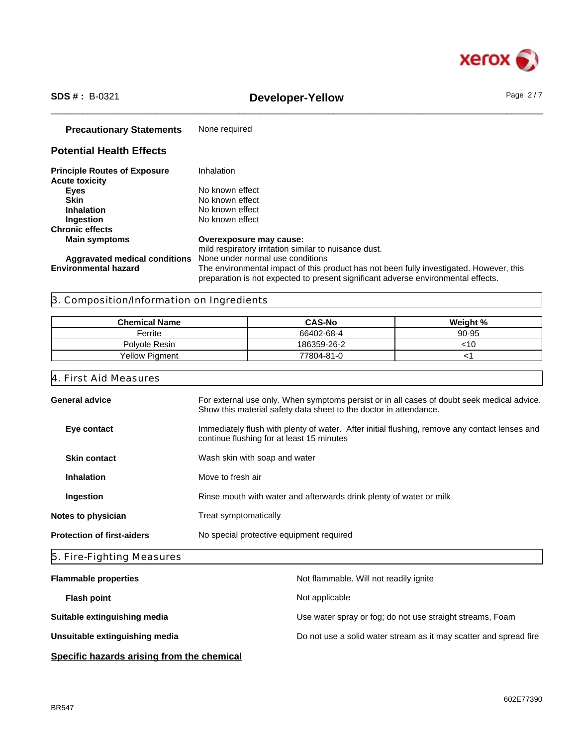

# \_\_\_\_\_\_\_\_\_\_\_\_\_\_\_\_\_\_\_\_\_\_\_\_\_\_\_\_\_\_\_\_\_\_\_\_\_\_\_\_\_\_\_\_\_\_\_\_\_\_\_\_\_\_\_\_\_\_\_\_\_\_\_\_\_\_\_\_\_\_\_\_\_\_\_\_\_\_\_\_\_\_\_\_\_\_\_\_\_\_\_\_\_\_ **SDS # :** B-0321 **Developer-Yellow** Page 2 / 7

| <b>Precautionary Statements</b>                              | None required                                                                                                                                                                |
|--------------------------------------------------------------|------------------------------------------------------------------------------------------------------------------------------------------------------------------------------|
| <b>Potential Health Effects</b>                              |                                                                                                                                                                              |
| <b>Principle Routes of Exposure</b><br><b>Acute toxicity</b> | Inhalation                                                                                                                                                                   |
| <b>Eyes</b>                                                  | No known effect                                                                                                                                                              |
| <b>Skin</b>                                                  | No known effect                                                                                                                                                              |
| <b>Inhalation</b>                                            | No known effect                                                                                                                                                              |
| Ingestion                                                    | No known effect                                                                                                                                                              |
| <b>Chronic effects</b>                                       |                                                                                                                                                                              |
| <b>Main symptoms</b>                                         | Overexposure may cause:<br>mild respiratory irritation similar to nuisance dust.                                                                                             |
| <b>Aggravated medical conditions</b>                         | None under normal use conditions                                                                                                                                             |
| <b>Environmental hazard</b>                                  | The environmental impact of this product has not been fully investigated. However, this<br>preparation is not expected to present significant adverse environmental effects. |

## 3. Composition/Information on Ingredients

| <b>Chemical Name</b> | <b>CAS-No</b> | Weight % |
|----------------------|---------------|----------|
| Ferrite              | 66402-68-4    | 90-95    |
| Polvole Resin        | 186359-26-2   | <10      |
| Yellow Piament       | 77804-81-0    |          |

## 4. First Aid Measures

| <b>General advice</b>             | For external use only. When symptoms persist or in all cases of doubt seek medical advice.<br>Show this material safety data sheet to the doctor in attendance. |
|-----------------------------------|-----------------------------------------------------------------------------------------------------------------------------------------------------------------|
| Eye contact                       | Immediately flush with plenty of water. After initial flushing, remove any contact lenses and<br>continue flushing for at least 15 minutes                      |
| <b>Skin contact</b>               | Wash skin with soap and water                                                                                                                                   |
| <b>Inhalation</b>                 | Move to fresh air                                                                                                                                               |
| Ingestion                         | Rinse mouth with water and afterwards drink plenty of water or milk                                                                                             |
| Notes to physician                | Treat symptomatically                                                                                                                                           |
| <b>Protection of first-aiders</b> | No special protective equipment required                                                                                                                        |
|                                   |                                                                                                                                                                 |

# 5. Fire-Fighting Measures

| <b>Flammable properties</b>    | Not flammable. Will not readily ignite                            |
|--------------------------------|-------------------------------------------------------------------|
| <b>Flash point</b>             | Not applicable                                                    |
| Suitable extinguishing media   | Use water spray or fog; do not use straight streams, Foam         |
| Unsuitable extinguishing media | Do not use a solid water stream as it may scatter and spread fire |
|                                |                                                                   |

**Specific hazards arising from the chemical**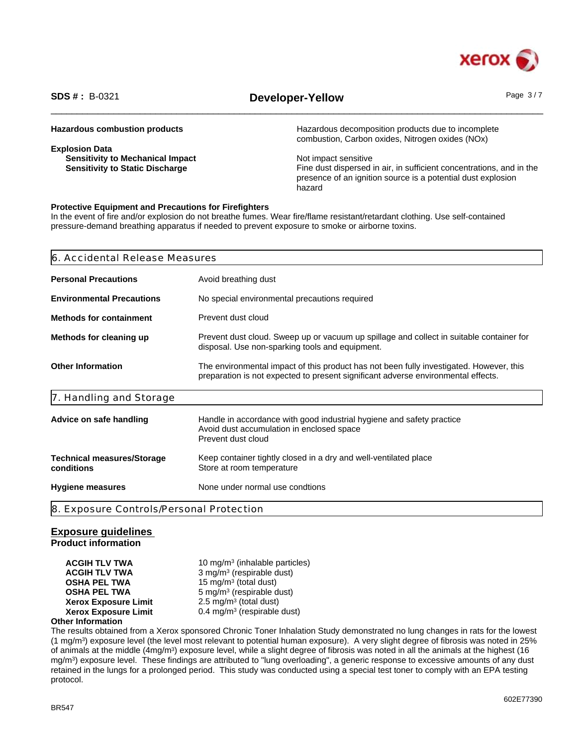

# \_\_\_\_\_\_\_\_\_\_\_\_\_\_\_\_\_\_\_\_\_\_\_\_\_\_\_\_\_\_\_\_\_\_\_\_\_\_\_\_\_\_\_\_\_\_\_\_\_\_\_\_\_\_\_\_\_\_\_\_\_\_\_\_\_\_\_\_\_\_\_\_\_\_\_\_\_\_\_\_\_\_\_\_\_\_\_\_\_\_\_\_\_\_ **SDS # :** B-0321 **Developer-Yellow** Page 3 / 7

| <b>Hazardous combustion products</b>    | Hazardous decomposition products due to incomplete<br>combustion, Carbon oxides, Nitrogen oxides (NOx) |
|-----------------------------------------|--------------------------------------------------------------------------------------------------------|
| <b>Explosion Data</b>                   |                                                                                                        |
| <b>Sensitivity to Mechanical Impact</b> | Not impact sensitive                                                                                   |
| <b>Sensitivity to Static Discharge</b>  | Fine dust dispersed in air, in sufficient concentrations, and in the                                   |
|                                         | presence of an ignition source is a potential dust explosion                                           |
|                                         | hazard                                                                                                 |

### **Protective Equipment and Precautions for Firefighters**

In the event of fire and/or explosion do not breathe fumes. Wear fire/flame resistant/retardant clothing. Use self-contained pressure-demand breathing apparatus if needed to prevent exposure to smoke or airborne toxins.

| Avoid breathing dust<br><b>Personal Precautions</b>                                                                                                                                                      |
|----------------------------------------------------------------------------------------------------------------------------------------------------------------------------------------------------------|
| <b>Environmental Precautions</b><br>No special environmental precautions required                                                                                                                        |
| Prevent dust cloud<br><b>Methods for containment</b>                                                                                                                                                     |
| Methods for cleaning up<br>Prevent dust cloud. Sweep up or vacuum up spillage and collect in suitable container for<br>disposal. Use non-sparking tools and equipment.                                   |
| <b>Other Information</b><br>The environmental impact of this product has not been fully investigated. However, this<br>preparation is not expected to present significant adverse environmental effects. |
| 7. Handling and Storage                                                                                                                                                                                  |
| Handle in accordance with good industrial hygiene and safety practice<br>Advice on safe handling<br>Avoid dust accumulation in enclosed space<br>Prevent dust cloud                                      |
| Keep container tightly closed in a dry and well-ventilated place<br><b>Technical measures/Storage</b><br>conditions<br>Store at room temperature                                                         |
| None under normal use condtions<br><b>Hygiene measures</b>                                                                                                                                               |
| 8. Exposure Controls/Personal Protection                                                                                                                                                                 |

### **Exposure guidelines**

**Product information**

**ACGIH TLV TWA** 10 mg/m<sup>3</sup> (inhalable particles) **ACGIH TLV TWA** 3 mg/m<sup>3</sup> (respirable dust) **OSHA PEL TWA** 15 mg/m<sup>3</sup> (total dust) **OSHA PEL TWA** 5 mg/m<sup>3</sup> (respirable dust) **Xerox Exposure Limit**  $2.5 \text{ mg/m}^3$  (total dust) **Xerox Exposure Limit** 0.4 mg/m<sup>3</sup> (respirable dust)

### **Other Information**

The results obtained from a Xerox sponsored Chronic Toner Inhalation Study demonstrated no lung changes in rats for the lowest (1 mg/m<sup>3</sup> ) exposure level (the level most relevant to potential human exposure). A very slight degree of fibrosis was noted in 25% of animals at the middle (4mg/m<sup>3</sup>) exposure level, while a slight degree of fibrosis was noted in all the animals at the highest (16 mg/m<sup>3</sup> ) exposure level. These findings are attributed to "lung overloading", a generic response to excessive amounts of any dust retained in the lungs for a prolonged period. This study was conducted using a special test toner to comply with an EPA testing protocol.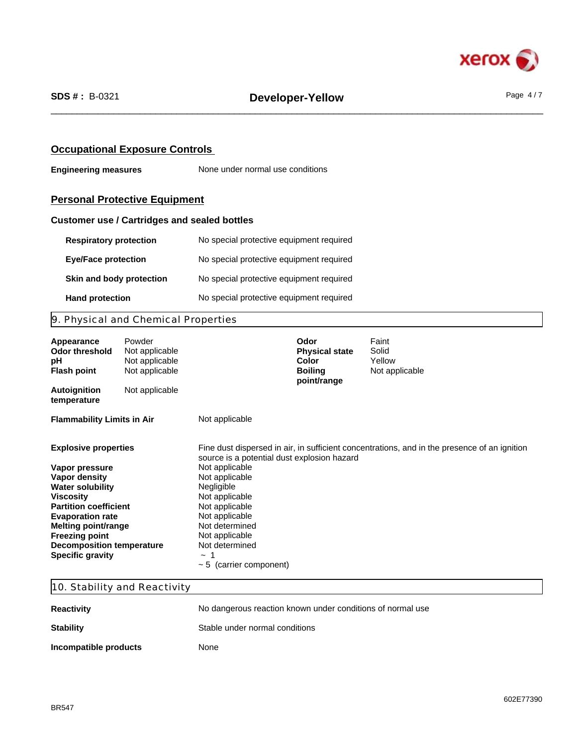

### **Occupational Exposure Controls**

**Engineering measures** None under normal use conditions

# **Personal Protective Equipment**

### **Customer use / Cartridges and sealed bottles**

| <b>Respiratory protection</b> | No special protective equipment required |
|-------------------------------|------------------------------------------|
| <b>Eye/Face protection</b>    | No special protective equipment required |
| Skin and body protection      | No special protective equipment required |
| <b>Hand protection</b>        | No special protective equipment required |

# 9. Physical and Chemical Properties

| Appearance<br><b>Odor threshold</b><br>рH<br><b>Flash point</b>                                                                                                                                                                                                                                | Not applicable<br>Not applicable<br>Not applicable                                                                                                                                                                                                                 | Powder | Odor<br><b>Physical state</b><br>Color<br><b>Boiling</b><br>point/range | Faint<br>Solid<br>Yellow<br>Not applicable                                                   |
|------------------------------------------------------------------------------------------------------------------------------------------------------------------------------------------------------------------------------------------------------------------------------------------------|--------------------------------------------------------------------------------------------------------------------------------------------------------------------------------------------------------------------------------------------------------------------|--------|-------------------------------------------------------------------------|----------------------------------------------------------------------------------------------|
| <b>Autoignition</b><br>temperature                                                                                                                                                                                                                                                             | Not applicable                                                                                                                                                                                                                                                     |        |                                                                         |                                                                                              |
| <b>Flammability Limits in Air</b>                                                                                                                                                                                                                                                              | Not applicable                                                                                                                                                                                                                                                     |        |                                                                         |                                                                                              |
| <b>Explosive properties</b><br>Vapor pressure<br>Vapor density<br><b>Water solubility</b><br><b>Viscosity</b><br><b>Partition coefficient</b><br><b>Evaporation rate</b><br><b>Melting point/range</b><br><b>Freezing point</b><br><b>Decomposition temperature</b><br><b>Specific gravity</b> | source is a potential dust explosion hazard<br>Not applicable<br>Not applicable<br>Negligible<br>Not applicable<br>Not applicable<br>Not applicable<br>Not determined<br>Not applicable<br>Not determined<br>$\tilde{\phantom{a}}$<br>$\sim$ 5 (carrier component) |        |                                                                         | Fine dust dispersed in air, in sufficient concentrations, and in the presence of an ignition |

## 10. Stability and Reactivity

| <b>Reactivity</b>     | No dangerous reaction known under conditions of normal use |
|-----------------------|------------------------------------------------------------|
| <b>Stability</b>      | Stable under normal conditions                             |
| Incompatible products | None                                                       |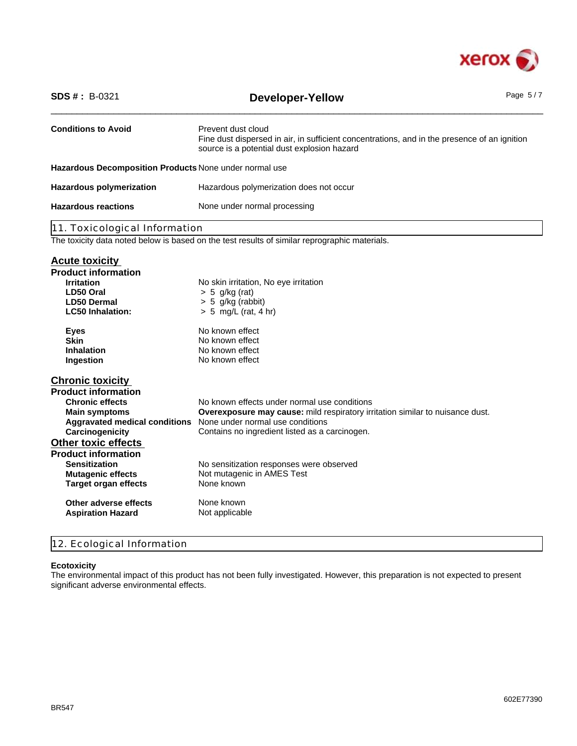

| <b>Conditions to Avoid</b><br>Prevent dust cloud                                                                                                                                                                                                                                                                                                                                                                                                                                                                                               |  |
|------------------------------------------------------------------------------------------------------------------------------------------------------------------------------------------------------------------------------------------------------------------------------------------------------------------------------------------------------------------------------------------------------------------------------------------------------------------------------------------------------------------------------------------------|--|
| Fine dust dispersed in air, in sufficient concentrations, and in the presence of an ignition<br>source is a potential dust explosion hazard                                                                                                                                                                                                                                                                                                                                                                                                    |  |
| Hazardous Decomposition Products None under normal use                                                                                                                                                                                                                                                                                                                                                                                                                                                                                         |  |
| <b>Hazardous polymerization</b><br>Hazardous polymerization does not occur                                                                                                                                                                                                                                                                                                                                                                                                                                                                     |  |
| <b>Hazardous reactions</b><br>None under normal processing                                                                                                                                                                                                                                                                                                                                                                                                                                                                                     |  |
| 11. Toxicological Information                                                                                                                                                                                                                                                                                                                                                                                                                                                                                                                  |  |
| The toxicity data noted below is based on the test results of similar reprographic materials.                                                                                                                                                                                                                                                                                                                                                                                                                                                  |  |
| <b>Acute toxicity</b><br><b>Product information</b>                                                                                                                                                                                                                                                                                                                                                                                                                                                                                            |  |
| <b>Irritation</b><br>No skin irritation, No eye irritation<br>LD50 Oral<br>$> 5$ g/kg (rat)<br><b>LD50 Dermal</b><br>$> 5$ g/kg (rabbit)<br>$> 5$ mg/L (rat, 4 hr)<br><b>LC50 Inhalation:</b>                                                                                                                                                                                                                                                                                                                                                  |  |
| No known effect<br><b>Eyes</b><br><b>Skin</b><br>No known effect<br>No known effect<br><b>Inhalation</b><br>No known effect<br>Ingestion                                                                                                                                                                                                                                                                                                                                                                                                       |  |
| <b>Chronic toxicity</b>                                                                                                                                                                                                                                                                                                                                                                                                                                                                                                                        |  |
| <b>Product information</b><br><b>Chronic effects</b><br>No known effects under normal use conditions<br>Overexposure may cause: mild respiratory irritation similar to nuisance dust.<br><b>Main symptoms</b><br>Aggravated medical conditions None under normal use conditions<br>Carcinogenicity<br>Contains no ingredient listed as a carcinogen.<br><b>Other toxic effects</b><br><b>Product information</b><br>No sensitization responses were observed<br><b>Sensitization</b><br>Not mutagenic in AMES Test<br><b>Mutagenic effects</b> |  |
| None known<br><b>Target organ effects</b><br>None known<br>Other adverse effects                                                                                                                                                                                                                                                                                                                                                                                                                                                               |  |
| <b>Aspiration Hazard</b><br>Not applicable                                                                                                                                                                                                                                                                                                                                                                                                                                                                                                     |  |

# 12. Ecological Information

### **Ecotoxicity**

The environmental impact of this product has not been fully investigated. However, this preparation is not expected to present significant adverse environmental effects.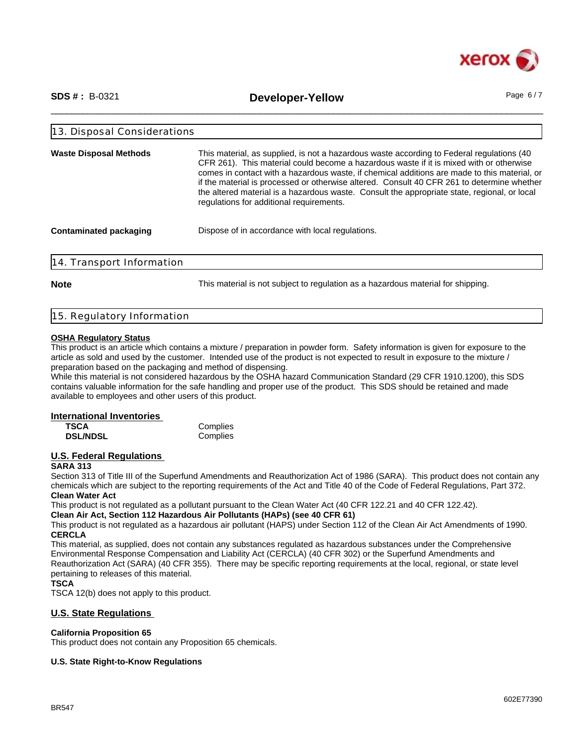

\_\_\_\_\_\_\_\_\_\_\_\_\_\_\_\_\_\_\_\_\_\_\_\_\_\_\_\_\_\_\_\_\_\_\_\_\_\_\_\_\_\_\_\_\_\_\_\_\_\_\_\_\_\_\_\_\_\_\_\_\_\_\_\_\_\_\_\_\_\_\_\_\_\_\_\_\_\_\_\_\_\_\_\_\_\_\_\_\_\_\_\_\_\_ **SDS # :** B-0321 **Developer-Yellow** Page 6 / 7

| <b>Waste Disposal Methods</b> | This material, as supplied, is not a hazardous waste according to Federal regulations (40<br>CFR 261). This material could become a hazardous waste if it is mixed with or otherwise<br>comes in contact with a hazardous waste, if chemical additions are made to this material, or<br>if the material is processed or otherwise altered. Consult 40 CFR 261 to determine whether<br>the altered material is a hazardous waste. Consult the appropriate state, regional, or local<br>regulations for additional requirements. |  |
|-------------------------------|--------------------------------------------------------------------------------------------------------------------------------------------------------------------------------------------------------------------------------------------------------------------------------------------------------------------------------------------------------------------------------------------------------------------------------------------------------------------------------------------------------------------------------|--|
| <b>Contaminated packaging</b> | Dispose of in accordance with local regulations.                                                                                                                                                                                                                                                                                                                                                                                                                                                                               |  |

**Note** This material is not subject to regulation as a hazardous material for shipping.

|  | 15. Regulatory Information |  |
|--|----------------------------|--|
|  |                            |  |

### **OSHA Regulatory Status**

This product is an article which contains a mixture / preparation in powder form. Safety information is given for exposure to the article as sold and used by the customer. Intended use of the product is not expected to result in exposure to the mixture / preparation based on the packaging and method of dispensing.

While this material is not considered hazardous by the OSHA hazard Communication Standard (29 CFR 1910.1200), this SDS contains valuable information for the safe handling and proper use of the product. This SDS should be retained and made available to employees and other users of this product.

### **International Inventories**

| TSCA            | Complies |
|-----------------|----------|
| <b>DSL/NDSL</b> | Complies |

### **U.S. Federal Regulations**

### **SARA 313**

Section 313 of Title III of the Superfund Amendments and Reauthorization Act of 1986 (SARA). This product does not contain any chemicals which are subject to the reporting requirements of the Act and Title 40 of the Code of Federal Regulations, Part 372. **Clean Water Act**

This product is not regulated as a pollutant pursuant to the Clean Water Act (40 CFR 122.21 and 40 CFR 122.42).

**Clean Air Act, Section 112 Hazardous Air Pollutants (HAPs) (see 40 CFR 61)**

This product is not regulated as a hazardous air pollutant (HAPS) under Section 112 of the Clean Air Act Amendments of 1990. **CERCLA**

This material, as supplied, does not contain any substances regulated as hazardous substances under the Comprehensive Environmental Response Compensation and Liability Act (CERCLA) (40 CFR 302) or the Superfund Amendments and Reauthorization Act (SARA) (40 CFR 355). There may be specific reporting requirements at the local, regional, or state level pertaining to releases of this material.

### **TSCA**

TSCA 12(b) does not apply to this product.

### **U.S. State Regulations**

### **California Proposition 65**

This product does not contain any Proposition 65 chemicals.

### **U.S. State Right-to-Know Regulations**